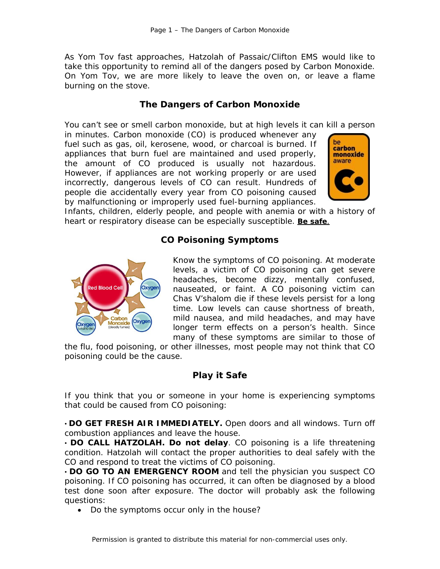As Yom Tov fast approaches, Hatzolah of Passaic/Clifton EMS would like to take this opportunity to remind all of the dangers posed by Carbon Monoxide. On Yom Tov, we are more likely to leave the oven on, or leave a flame burning on the stove.

# *The Dangers of Carbon Monoxide*

You can't see or smell carbon monoxide, but at high levels it can kill a person

in minutes. Carbon monoxide (CO) is produced whenever any fuel such as gas, oil, kerosene, wood, or charcoal is burned. If appliances that burn fuel are maintained and used properly, the amount of CO produced is usually not hazardous. However, if appliances are not working properly or are used incorrectly, dangerous levels of CO can result. Hundreds of people die accidentally every year from CO poisoning caused by malfunctioning or improperly used fuel-burning appliances.



Infants, children, elderly people, and people with anemia or with a history of heart or respiratory disease can be especially susceptible. **Be safe**.

## *CO Poisoning Symptoms*



Know the symptoms of CO poisoning. At moderate levels, a victim of CO poisoning can get severe headaches, become dizzy, mentally confused, nauseated, or faint. A CO poisoning victim can Chas V'shalom die if these levels persist for a long time. Low levels can cause shortness of breath, mild nausea, and mild headaches, and may have longer term effects on a person's health. Since many of these symptoms are similar to those of

the flu, food poisoning, or other illnesses, most people may not think that CO poisoning could be the cause.

# *Play it Safe*

*If you think that you or someone in your home is experiencing symptoms that could be caused from CO poisoning:* 

• **DO GET FRESH AIR IMMEDIATELY.** Open doors and all windows. Turn off combustion appliances and leave the house.

• **DO CALL HATZOLAH. Do not delay**. CO poisoning is a life threatening condition. Hatzolah will contact the proper authorities to deal safely with the CO and respond to treat the victims of CO poisoning.

• **DO GO TO AN EMERGENCY ROOM** and tell the physician you suspect CO poisoning. If CO poisoning has occurred, it can often be diagnosed by a blood test done soon after exposure. The doctor will probably ask the following questions:

• Do the symptoms occur only in the house?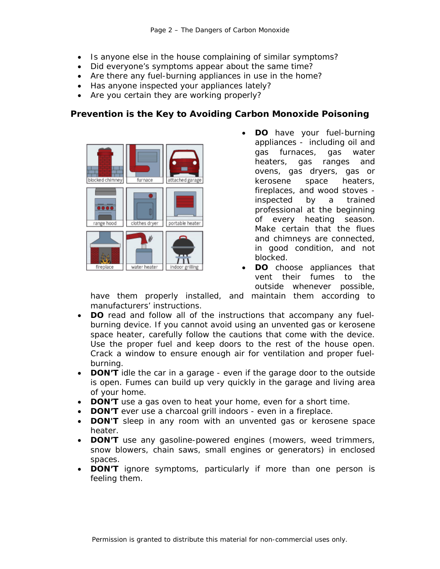- Is anyone else in the house complaining of similar symptoms?
- Did everyone's symptoms appear about the same time?
- Are there any fuel-burning appliances in use in the home?
- Has anyone inspected your appliances lately?
- Are you certain they are working properly?

# *Prevention is the Key to Avoiding Carbon Monoxide Poisoning*



- **DO** have your fuel-burning appliances - including oil and gas furnaces, gas water heaters, gas ranges and ovens, gas dryers, gas or kerosene space heaters, fireplaces, and wood stoves inspected by a trained professional at the beginning of every heating season. Make certain that the flues and chimneys are connected, in good condition, and not blocked.
- **DO** choose appliances that vent their fumes to the outside whenever possible,

have them properly installed, and maintain them according to manufacturers' instructions.

- **DO** read and follow all of the instructions that accompany any fuelburning device. If you cannot avoid using an unvented gas or kerosene space heater, carefully follow the cautions that come with the device. Use the proper fuel and keep doors to the rest of the house open. Crack a window to ensure enough air for ventilation and proper fuelburning.
- **DON'T** idle the car in a garage even if the garage door to the outside is open. Fumes can build up very quickly in the garage and living area of your home.
- **DON'T** use a gas oven to heat your home, even for a short time.
- **DON'T** ever use a charcoal grill indoors even in a fireplace.
- **DON'T** sleep in any room with an unvented gas or kerosene space heater.
- **DON'T** use any gasoline-powered engines (mowers, weed trimmers, snow blowers, chain saws, small engines or generators) in enclosed spaces.
- **DON'T** ignore symptoms, particularly if more than one person is feeling them.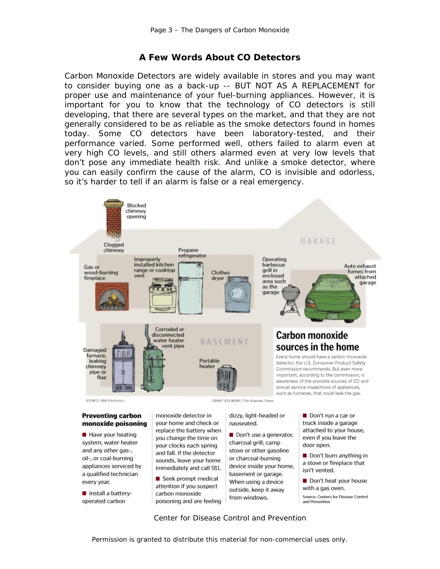#### *A Few Words About CO Detectors*

Carbon Monoxide Detectors are widely available in stores and you may want to consider buying one as a back-up -- BUT NOT AS A REPLACEMENT for proper use and maintenance of your fuel-burning appliances. However, it is important for you to know that the technology of CO detectors is still developing, that there are several types on the market, and that they are not generally considered to be as reliable as the smoke detectors found in homes today. Some CO detectors have been laboratory-tested, and their performance varied. Some performed well, others failed to alarm even at very high CO levels, and still others alarmed even at very low levels that don't pose any immediate health risk. And unlike a smoke detector, where you can easily confirm the cause of the alarm, CO is invisible and odorless, so it's harder to tell if an alarm is false or a real emergency.



# monoxide poisoning

Have your heating system, water heater and any other gas-, oil-, or coal-burning appliances serviced by a qualified technician every year.

Install a batteryoperated carbon

your home and check or replace the battery when you change the time on your clocks each spring and fall. If the detector sounds, leave your home immediately and call 911.

Seek prompt medical attention if you suspect carbon monoxide poisoning and are feeling

# nauseated.

Don't use a generator, charcoal grill, camp stove or other gasoline or charcoal-burning device inside your home, basement or garage. When using a device outside, keep it away from windows.

truck inside a garage attached to your house, even if you leave the door open.

Don't burn anything in a stove or fireplace that isn't vented.

Don't heat your house with a gas oven.

Source: Centers for Disease Control and Prevention

*Center for Disease Control and Prevention*